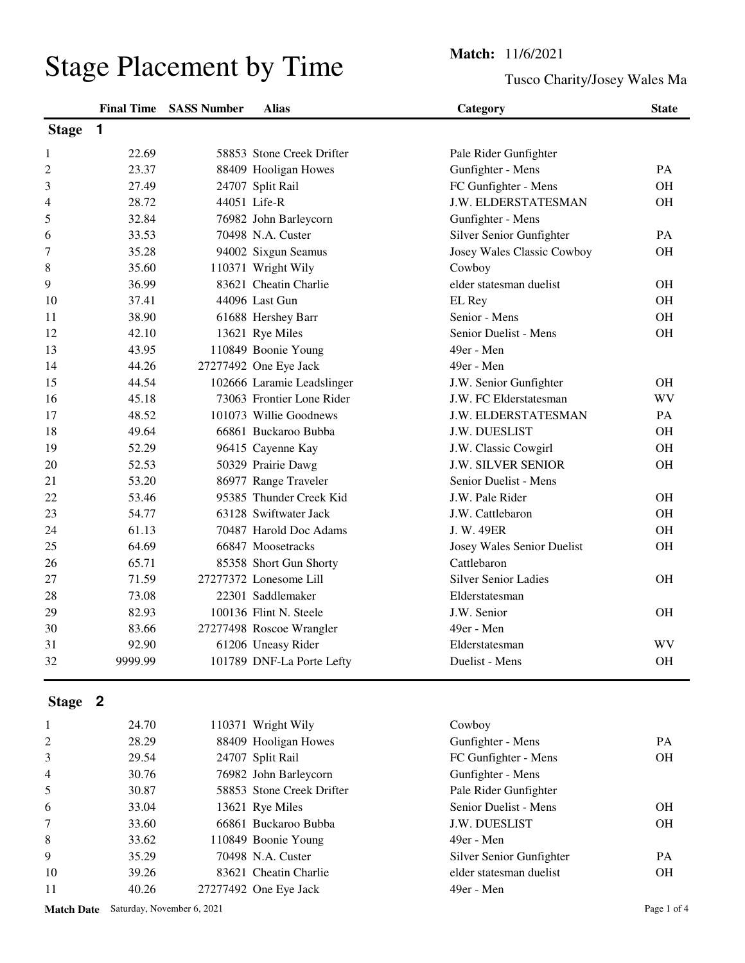Tusco Charity/Josey Wales Ma

|                |         | <b>Final Time SASS Number</b> | <b>Alias</b>               | Category                    | <b>State</b> |
|----------------|---------|-------------------------------|----------------------------|-----------------------------|--------------|
| <b>Stage</b>   | 1       |                               |                            |                             |              |
| 1              | 22.69   |                               | 58853 Stone Creek Drifter  | Pale Rider Gunfighter       |              |
| $\overline{c}$ | 23.37   |                               | 88409 Hooligan Howes       | Gunfighter - Mens           | PA           |
| 3              | 27.49   |                               | 24707 Split Rail           | FC Gunfighter - Mens        | <b>OH</b>    |
| 4              | 28.72   |                               | 44051 Life-R               | J.W. ELDERSTATESMAN         | <b>OH</b>    |
| 5              | 32.84   |                               | 76982 John Barleycorn      | Gunfighter - Mens           |              |
| 6              | 33.53   |                               | 70498 N.A. Custer          | Silver Senior Gunfighter    | <b>PA</b>    |
| 7              | 35.28   |                               | 94002 Sixgun Seamus        | Josey Wales Classic Cowboy  | <b>OH</b>    |
| 8              | 35.60   |                               | 110371 Wright Wily         | Cowboy                      |              |
| 9              | 36.99   |                               | 83621 Cheatin Charlie      | elder statesman duelist     | <b>OH</b>    |
| 10             | 37.41   |                               | 44096 Last Gun             | EL Rey                      | <b>OH</b>    |
| 11             | 38.90   |                               | 61688 Hershey Barr         | Senior - Mens               | <b>OH</b>    |
| 12             | 42.10   |                               | 13621 Rye Miles            | Senior Duelist - Mens       | <b>OH</b>    |
| 13             | 43.95   |                               | 110849 Boonie Young        | 49er - Men                  |              |
| 14             | 44.26   |                               | 27277492 One Eye Jack      | 49er - Men                  |              |
| 15             | 44.54   |                               | 102666 Laramie Leadslinger | J.W. Senior Gunfighter      | <b>OH</b>    |
| 16             | 45.18   |                               | 73063 Frontier Lone Rider  | J.W. FC Elderstatesman      | WV           |
| 17             | 48.52   |                               | 101073 Willie Goodnews     | J.W. ELDERSTATESMAN         | PA           |
| 18             | 49.64   |                               | 66861 Buckaroo Bubba       | J.W. DUESLIST               | <b>OH</b>    |
| 19             | 52.29   |                               | 96415 Cayenne Kay          | J.W. Classic Cowgirl        | <b>OH</b>    |
| 20             | 52.53   |                               | 50329 Prairie Dawg         | <b>J.W. SILVER SENIOR</b>   | <b>OH</b>    |
| 21             | 53.20   |                               | 86977 Range Traveler       | Senior Duelist - Mens       |              |
| 22             | 53.46   |                               | 95385 Thunder Creek Kid    | J.W. Pale Rider             | <b>OH</b>    |
| 23             | 54.77   |                               | 63128 Swiftwater Jack      | J.W. Cattlebaron            | <b>OH</b>    |
| 24             | 61.13   |                               | 70487 Harold Doc Adams     | J. W. 49ER                  | <b>OH</b>    |
| 25             | 64.69   |                               | 66847 Moosetracks          | Josey Wales Senior Duelist  | OH           |
| 26             | 65.71   |                               | 85358 Short Gun Shorty     | Cattlebaron                 |              |
| 27             | 71.59   |                               | 27277372 Lonesome Lill     | <b>Silver Senior Ladies</b> | <b>OH</b>    |
| 28             | 73.08   |                               | 22301 Saddlemaker          | Elderstatesman              |              |
| 29             | 82.93   |                               | 100136 Flint N. Steele     | J.W. Senior                 | <b>OH</b>    |
| 30             | 83.66   |                               | 27277498 Roscoe Wrangler   | 49er - Men                  |              |
| 31             | 92.90   |                               | 61206 Uneasy Rider         | Elderstatesman              | WV           |
| 32             | 9999.99 |                               | 101789 DNF-La Porte Lefty  | Duelist - Mens              | OH           |
| Stage 2        |         |                               |                            |                             |              |
| 1              | 24.70   |                               | 110371 Wright Wily         | Cowboy                      |              |
| 2              | 28.29   |                               | 88409 Hooligan Howes       | Gunfighter - Mens           | PA           |

|                | 24.70 | 110371 Wright Wily        | Cowboy                   |           |
|----------------|-------|---------------------------|--------------------------|-----------|
| 2              | 28.29 | 88409 Hooligan Howes      | Gunfighter - Mens        | PA.       |
| 3              | 29.54 | 24707 Split Rail          | FC Gunfighter - Mens     | <b>OH</b> |
| $\overline{4}$ | 30.76 | 76982 John Barleycorn     | Gunfighter - Mens        |           |
| 5              | 30.87 | 58853 Stone Creek Drifter | Pale Rider Gunfighter    |           |
| 6              | 33.04 | 13621 Rye Miles           | Senior Duelist - Mens    | <b>OH</b> |
| 7              | 33.60 | 66861 Buckaroo Bubba      | J.W. DUESLIST            | <b>OH</b> |
| 8              | 33.62 | 110849 Boonie Young       | 49er - Men               |           |
| 9              | 35.29 | 70498 N.A. Custer         | Silver Senior Gunfighter | PA.       |
| 10             | 39.26 | 83621 Cheatin Charlie     | elder statesman duelist  | <b>OH</b> |
| 11             | 40.26 | 27277492 One Eye Jack     | 49er - Men               |           |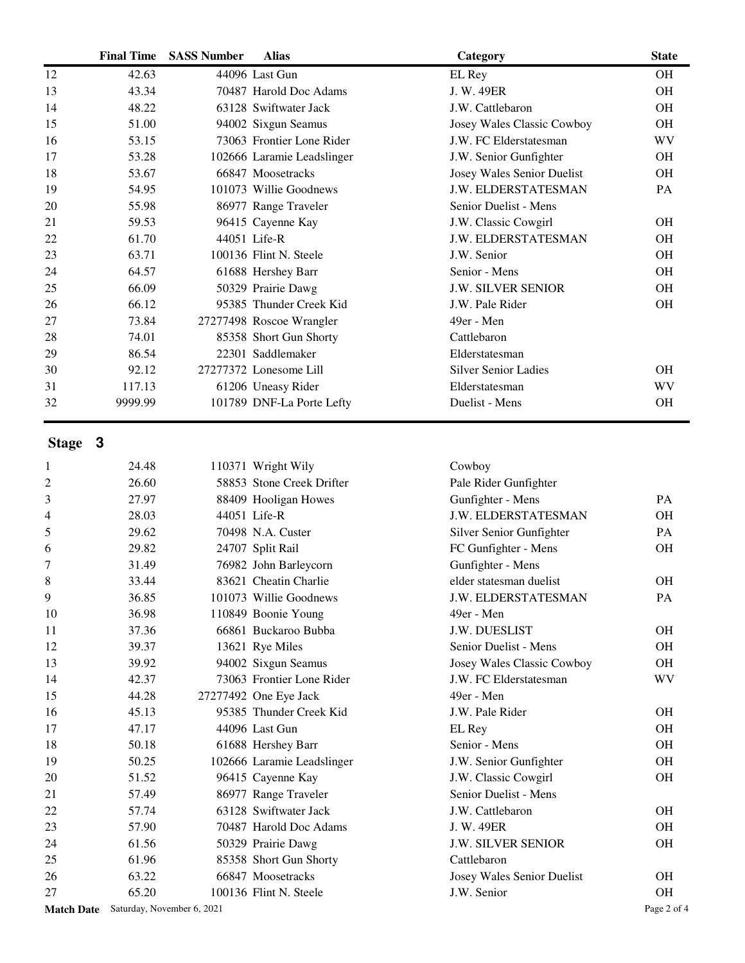|                | <b>Final Time</b> | <b>SASS Number</b> | <b>Alias</b>               | Category                    | <b>State</b> |
|----------------|-------------------|--------------------|----------------------------|-----------------------------|--------------|
| 12             | 42.63             |                    | 44096 Last Gun             | EL Rey                      | <b>OH</b>    |
| 13             | 43.34             |                    | 70487 Harold Doc Adams     | J. W. 49ER                  | <b>OH</b>    |
| 14             | 48.22             |                    | 63128 Swiftwater Jack      | J.W. Cattlebaron            | <b>OH</b>    |
| 15             | 51.00             |                    | 94002 Sixgun Seamus        | Josey Wales Classic Cowboy  | <b>OH</b>    |
| 16             | 53.15             |                    | 73063 Frontier Lone Rider  | J.W. FC Elderstatesman      | <b>WV</b>    |
| 17             | 53.28             |                    | 102666 Laramie Leadslinger | J.W. Senior Gunfighter      | <b>OH</b>    |
| 18             | 53.67             |                    | 66847 Moosetracks          | Josey Wales Senior Duelist  | <b>OH</b>    |
| 19             | 54.95             |                    | 101073 Willie Goodnews     | J.W. ELDERSTATESMAN         | PA           |
| 20             | 55.98             |                    | 86977 Range Traveler       | Senior Duelist - Mens       |              |
| 21             | 59.53             |                    | 96415 Cayenne Kay          | J.W. Classic Cowgirl        | <b>OH</b>    |
| 22             | 61.70             |                    | 44051 Life-R               | J.W. ELDERSTATESMAN         | <b>OH</b>    |
| 23             | 63.71             |                    | 100136 Flint N. Steele     | J.W. Senior                 | <b>OH</b>    |
| 24             | 64.57             |                    | 61688 Hershey Barr         | Senior - Mens               | OH           |
| 25             | 66.09             |                    | 50329 Prairie Dawg         | <b>J.W. SILVER SENIOR</b>   | <b>OH</b>    |
| 26             | 66.12             |                    | 95385 Thunder Creek Kid    | J.W. Pale Rider             | <b>OH</b>    |
| 27             | 73.84             |                    | 27277498 Roscoe Wrangler   | 49er - Men                  |              |
| 28             | 74.01             |                    | 85358 Short Gun Shorty     | Cattlebaron                 |              |
| 29             | 86.54             |                    | 22301 Saddlemaker          | Elderstatesman              |              |
| 30             | 92.12             |                    | 27277372 Lonesome Lill     | <b>Silver Senior Ladies</b> | <b>OH</b>    |
| 31             | 117.13            |                    | 61206 Uneasy Rider         | Elderstatesman              | <b>WV</b>    |
| 32             | 9999.99           |                    | 101789 DNF-La Porte Lefty  | Duelist - Mens              | OH           |
|                |                   |                    |                            |                             |              |
| Stage 3        |                   |                    |                            |                             |              |
| 1              | 24.48             |                    | 110371 Wright Wily         | Cowboy                      |              |
| $\overline{c}$ | 26.60             |                    | 58853 Stone Creek Drifter  | Pale Rider Gunfighter       |              |
| 3              | 27.97             |                    | 88409 Hooligan Howes       | Gunfighter - Mens           | PA           |
| 4              | 28.03             |                    | 44051 Life-R               | J.W. ELDERSTATESMAN         | <b>OH</b>    |
| 5              | 29.62             |                    | 70498 N.A. Custer          | Silver Senior Gunfighter    | PA           |
| 6              | 29.82             |                    | 24707 Split Rail           | FC Gunfighter - Mens        | <b>OH</b>    |
| 7              | 31.49             |                    | 76982 John Barleycorn      | Gunfighter - Mens           |              |
| 8              | 33.44             |                    | 83621 Cheatin Charlie      | elder statesman duelist     | <b>OH</b>    |
| 9              | 36.85             |                    | 101073 Willie Goodnews     | J.W. ELDERSTATESMAN         | PA           |
| 10             | 36.98             |                    | 110849 Boonie Young        | 49er - Men                  |              |
| 11             | 37.36             |                    | 66861 Buckaroo Bubba       | J.W. DUESLIST               | <b>OH</b>    |
| 12             | 39.37             |                    | 13621 Rye Miles            | Senior Duelist - Mens       | OH           |
| 13             | 39.92             |                    | 94002 Sixgun Seamus        | Josey Wales Classic Cowboy  | <b>OH</b>    |
| 14             | 42.37             |                    | 73063 Frontier Lone Rider  | J.W. FC Elderstatesman      | <b>WV</b>    |
| 15             | 44.28             |                    | 27277492 One Eye Jack      | 49er - Men                  |              |
| 16             | 45.13             |                    | 95385 Thunder Creek Kid    | J.W. Pale Rider             | <b>OH</b>    |
| 17             | 47.17             |                    | 44096 Last Gun             | EL Rey                      | OH           |
| 18             | 50.18             |                    | 61688 Hershey Barr         | Senior - Mens               | <b>OH</b>    |
| 19             | 50.25             |                    | 102666 Laramie Leadslinger | J.W. Senior Gunfighter      | OH           |
| 20             | 51.52             |                    | 96415 Cayenne Kay          | J.W. Classic Cowgirl        | <b>OH</b>    |
| 21             | 57.49             |                    | 86977 Range Traveler       | Senior Duelist - Mens       |              |
| 22             | 57.74             |                    | 63128 Swiftwater Jack      | J.W. Cattlebaron            | <b>OH</b>    |

 57.90 70487 Harold Doc Adams J. W. 49ER OH 24 61.56 50329 Prairie Dawg J.W. SILVER SENIOR OH

 63.22 66847 Moosetracks Josey Wales Senior Duelist OH 65.20 100136 Flint N. Steele J.W. Senior OH

61.96 85358 Short Gun Shorty Cattlebaron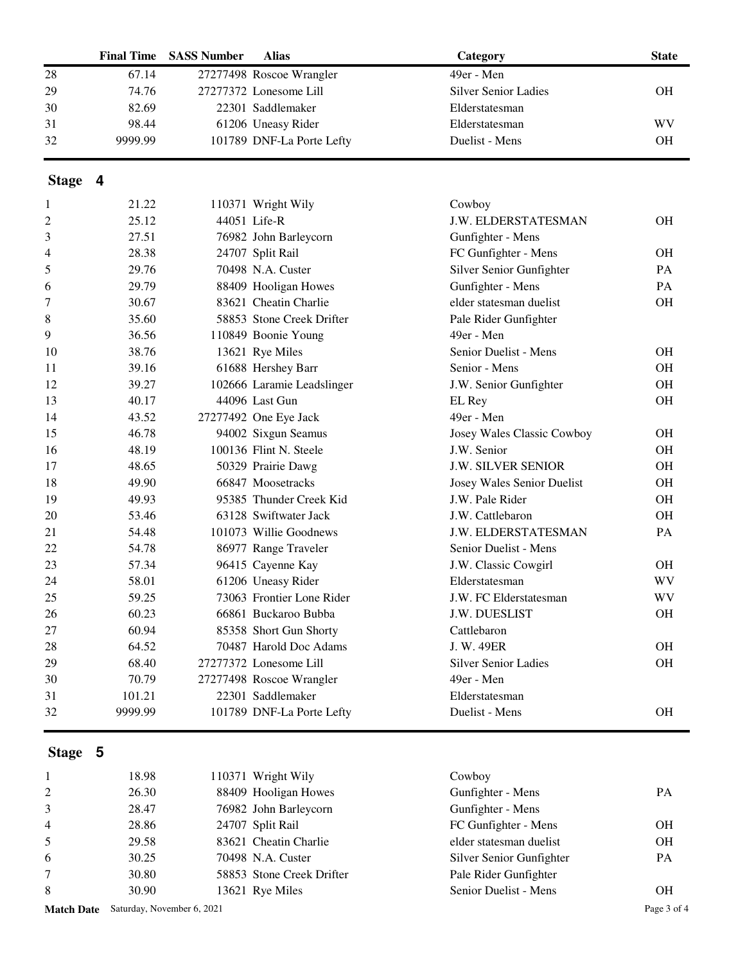|    |         | <b>Final Time SASS Number</b> | <b>Alias</b>              | Category                    | <b>State</b> |
|----|---------|-------------------------------|---------------------------|-----------------------------|--------------|
| 28 | 67.14   |                               | 27277498 Roscoe Wrangler  | 49er - Men                  |              |
| 29 | 74.76   |                               | 27277372 Lonesome Lill    | <b>Silver Senior Ladies</b> | OН           |
| 30 | 82.69   |                               | 22301 Saddlemaker         | Elderstatesman              |              |
| 31 | 98.44   |                               | 61206 Uneasy Rider        | Elderstatesman              | WV           |
| 32 | 9999.99 |                               | 101789 DNF-La Porte Lefty | Duelist - Mens              | OН           |

## **Stage 4**

| 1  | 21.22   | 110371 Wright Wily         | Cowboy                      |           |
|----|---------|----------------------------|-----------------------------|-----------|
| 2  | 25.12   | 44051 Life-R               | J.W. ELDERSTATESMAN         | <b>OH</b> |
| 3  | 27.51   | 76982 John Barleycorn      | Gunfighter - Mens           |           |
| 4  | 28.38   | 24707 Split Rail           | FC Gunfighter - Mens        | <b>OH</b> |
| 5  | 29.76   | 70498 N.A. Custer          | Silver Senior Gunfighter    | PA        |
| 6  | 29.79   | 88409 Hooligan Howes       | Gunfighter - Mens           | PA        |
| 7  | 30.67   | 83621 Cheatin Charlie      | elder statesman duelist     | <b>OH</b> |
| 8  | 35.60   | 58853 Stone Creek Drifter  | Pale Rider Gunfighter       |           |
| 9  | 36.56   | 110849 Boonie Young        | 49er - Men                  |           |
| 10 | 38.76   | 13621 Rye Miles            | Senior Duelist - Mens       | OH        |
| 11 | 39.16   | 61688 Hershey Barr         | Senior - Mens               | <b>OH</b> |
| 12 | 39.27   | 102666 Laramie Leadslinger | J.W. Senior Gunfighter      | <b>OH</b> |
| 13 | 40.17   | 44096 Last Gun             | EL Rey                      | <b>OH</b> |
| 14 | 43.52   | 27277492 One Eye Jack      | 49er - Men                  |           |
| 15 | 46.78   | 94002 Sixgun Seamus        | Josey Wales Classic Cowboy  | OH        |
| 16 | 48.19   | 100136 Flint N. Steele     | J.W. Senior                 | <b>OH</b> |
| 17 | 48.65   | 50329 Prairie Dawg         | <b>J.W. SILVER SENIOR</b>   | <b>OH</b> |
| 18 | 49.90   | 66847 Moosetracks          | Josey Wales Senior Duelist  | <b>OH</b> |
| 19 | 49.93   | 95385 Thunder Creek Kid    | J.W. Pale Rider             | <b>OH</b> |
| 20 | 53.46   | 63128 Swiftwater Jack      | J.W. Cattlebaron            | <b>OH</b> |
| 21 | 54.48   | 101073 Willie Goodnews     | <b>J.W. ELDERSTATESMAN</b>  | PA        |
| 22 | 54.78   | 86977 Range Traveler       | Senior Duelist - Mens       |           |
| 23 | 57.34   | 96415 Cayenne Kay          | J.W. Classic Cowgirl        | <b>OH</b> |
| 24 | 58.01   | 61206 Uneasy Rider         | Elderstatesman              | <b>WV</b> |
| 25 | 59.25   | 73063 Frontier Lone Rider  | J.W. FC Elderstatesman      | <b>WV</b> |
| 26 | 60.23   | 66861 Buckaroo Bubba       | J.W. DUESLIST               | <b>OH</b> |
| 27 | 60.94   | 85358 Short Gun Shorty     | Cattlebaron                 |           |
| 28 | 64.52   | 70487 Harold Doc Adams     | J. W. 49ER                  | <b>OH</b> |
| 29 | 68.40   | 27277372 Lonesome Lill     | <b>Silver Senior Ladies</b> | OH        |
| 30 | 70.79   | 27277498 Roscoe Wrangler   | 49er - Men                  |           |
| 31 | 101.21  | 22301 Saddlemaker          | Elderstatesman              |           |
| 32 | 9999.99 | 101789 DNF-La Porte Lefty  | Duelist - Mens              | <b>OH</b> |

## **Stage 5**

| $\overline{1}$ | 18.98 | 110371 Wright Wily        | Cowboy                   |           |
|----------------|-------|---------------------------|--------------------------|-----------|
| 2              | 26.30 | 88409 Hooligan Howes      | Gunfighter - Mens        | <b>PA</b> |
| 3              | 28.47 | 76982 John Barleycorn     | Gunfighter - Mens        |           |
| $\overline{4}$ | 28.86 | 24707 Split Rail          | FC Gunfighter - Mens     | OН        |
| 5              | 29.58 | 83621 Cheatin Charlie     | elder statesman duelist  | OН        |
| -6             | 30.25 | 70498 N.A. Custer         | Silver Senior Gunfighter | <b>PA</b> |
| $\tau$         | 30.80 | 58853 Stone Creek Drifter | Pale Rider Gunfighter    |           |
| 8              | 30.90 | 13621 Rye Miles           | Senior Duelist - Mens    | OН        |